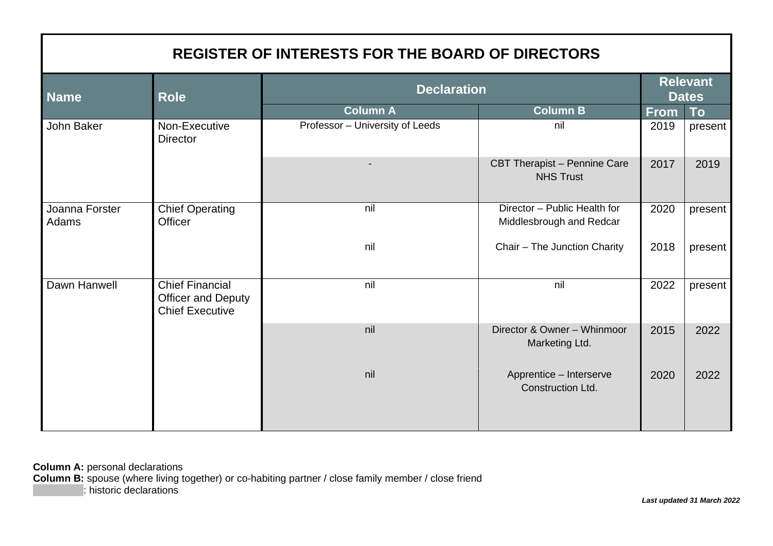| <b>REGISTER OF INTERESTS FOR THE BOARD OF DIRECTORS</b> |                                                                               |                                 |                                                          |                                 |           |  |
|---------------------------------------------------------|-------------------------------------------------------------------------------|---------------------------------|----------------------------------------------------------|---------------------------------|-----------|--|
| <b>Name</b>                                             | <b>Role</b>                                                                   | <b>Declaration</b>              |                                                          | <b>Relevant</b><br><b>Dates</b> |           |  |
|                                                         |                                                                               | <b>Column A</b>                 | Column B                                                 | <b>From</b>                     | <b>To</b> |  |
| John Baker                                              | Non-Executive<br><b>Director</b>                                              | Professor - University of Leeds | nil                                                      | 2019                            | present   |  |
|                                                         |                                                                               |                                 | CBT Therapist - Pennine Care<br><b>NHS Trust</b>         | 2017                            | 2019      |  |
| Joanna Forster<br>Adams                                 | <b>Chief Operating</b><br>Officer                                             | nil                             | Director - Public Health for<br>Middlesbrough and Redcar | 2020                            | present   |  |
|                                                         |                                                                               | nil                             | Chair - The Junction Charity                             | 2018                            | present   |  |
| Dawn Hanwell                                            | <b>Chief Financial</b><br><b>Officer and Deputy</b><br><b>Chief Executive</b> | nil                             | nil                                                      | 2022                            | present   |  |
|                                                         |                                                                               | nil                             | Director & Owner - Whinmoor<br>Marketing Ltd.            | 2015                            | 2022      |  |
|                                                         |                                                                               | nil                             | Apprentice - Interserve<br>Construction Ltd.             | 2020                            | 2022      |  |

**Column A:** personal declarations **Column B:** spouse (where living together) or co-habiting partner / close family member / close friend : historic declarations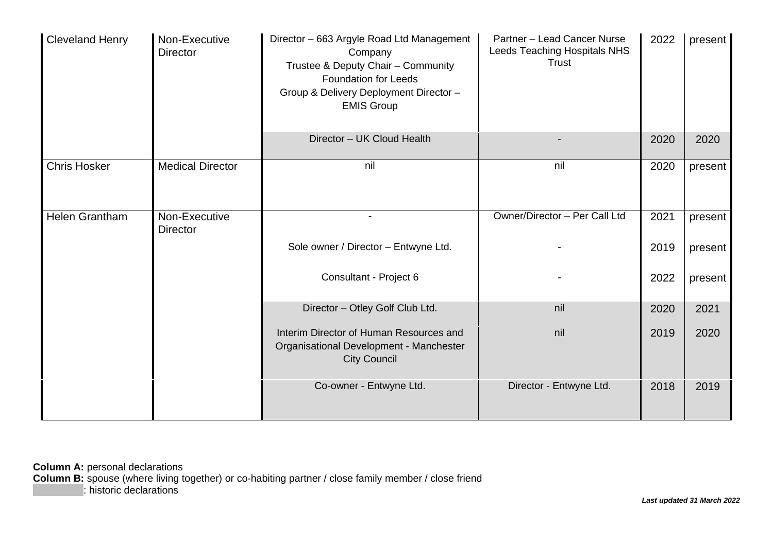| <b>Cleveland Henry</b> | Non-Executive<br><b>Director</b> | Director - 663 Argyle Road Ltd Management<br>Company<br>Trustee & Deputy Chair - Community<br><b>Foundation for Leeds</b><br>Group & Delivery Deployment Director -<br><b>EMIS Group</b> | Partner - Lead Cancer Nurse<br>Leeds Teaching Hospitals NHS<br><b>Trust</b> | 2022 | present |
|------------------------|----------------------------------|------------------------------------------------------------------------------------------------------------------------------------------------------------------------------------------|-----------------------------------------------------------------------------|------|---------|
|                        |                                  | Director - UK Cloud Health                                                                                                                                                               |                                                                             | 2020 | 2020    |
| <b>Chris Hosker</b>    | <b>Medical Director</b>          | nil                                                                                                                                                                                      | nil                                                                         | 2020 | present |
| Helen Grantham         | Non-Executive<br><b>Director</b> |                                                                                                                                                                                          | Owner/Director - Per Call Ltd                                               | 2021 | present |
|                        |                                  | Sole owner / Director - Entwyne Ltd.                                                                                                                                                     |                                                                             | 2019 | present |
|                        |                                  | Consultant - Project 6                                                                                                                                                                   |                                                                             | 2022 | present |
|                        |                                  | Director - Otley Golf Club Ltd.                                                                                                                                                          | nil                                                                         | 2020 | 2021    |
|                        |                                  | Interim Director of Human Resources and<br>Organisational Development - Manchester<br><b>City Council</b>                                                                                | nil                                                                         | 2019 | 2020    |
|                        |                                  | Co-owner - Entwyne Ltd.                                                                                                                                                                  | Director - Entwyne Ltd.                                                     | 2018 | 2019    |

**Column A:** personal declarations **Column B:** spouse (where living together) or co-habiting partner / close family member / close friend : historic declarations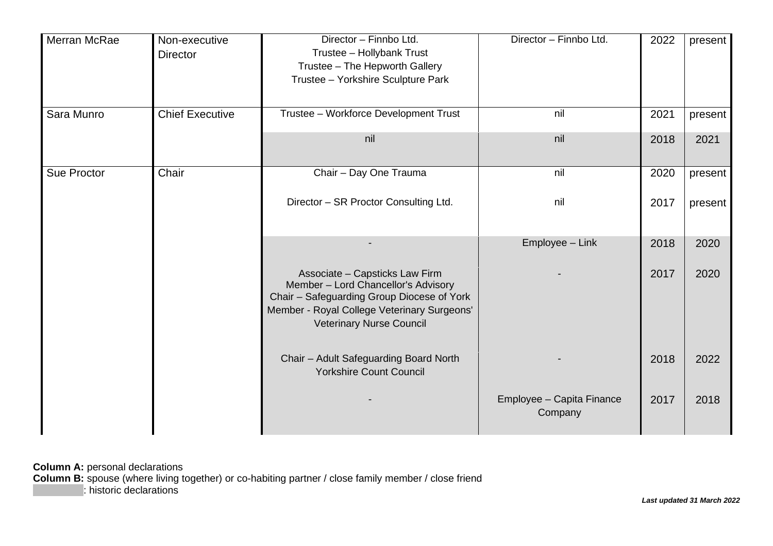| Merran McRae       | Non-executive<br><b>Director</b> | Director - Finnbo Ltd.<br>Trustee - Hollybank Trust<br>Trustee - The Hepworth Gallery<br>Trustee - Yorkshire Sculpture Park                                                                    | Director - Finnbo Ltd.               | 2022 | present |
|--------------------|----------------------------------|------------------------------------------------------------------------------------------------------------------------------------------------------------------------------------------------|--------------------------------------|------|---------|
| Sara Munro         | <b>Chief Executive</b>           | Trustee - Workforce Development Trust                                                                                                                                                          | nil                                  | 2021 | present |
|                    |                                  | nil                                                                                                                                                                                            | nil                                  | 2018 | 2021    |
| <b>Sue Proctor</b> | Chair                            | Chair - Day One Trauma                                                                                                                                                                         | nil                                  | 2020 | present |
|                    |                                  | Director - SR Proctor Consulting Ltd.                                                                                                                                                          | nil                                  | 2017 | present |
|                    |                                  |                                                                                                                                                                                                | Employee - Link                      | 2018 | 2020    |
|                    |                                  | Associate - Capsticks Law Firm<br>Member - Lord Chancellor's Advisory<br>Chair - Safeguarding Group Diocese of York<br>Member - Royal College Veterinary Surgeons'<br>Veterinary Nurse Council |                                      | 2017 | 2020    |
|                    |                                  | Chair - Adult Safeguarding Board North<br><b>Yorkshire Count Council</b>                                                                                                                       |                                      | 2018 | 2022    |
|                    |                                  |                                                                                                                                                                                                | Employee - Capita Finance<br>Company | 2017 | 2018    |